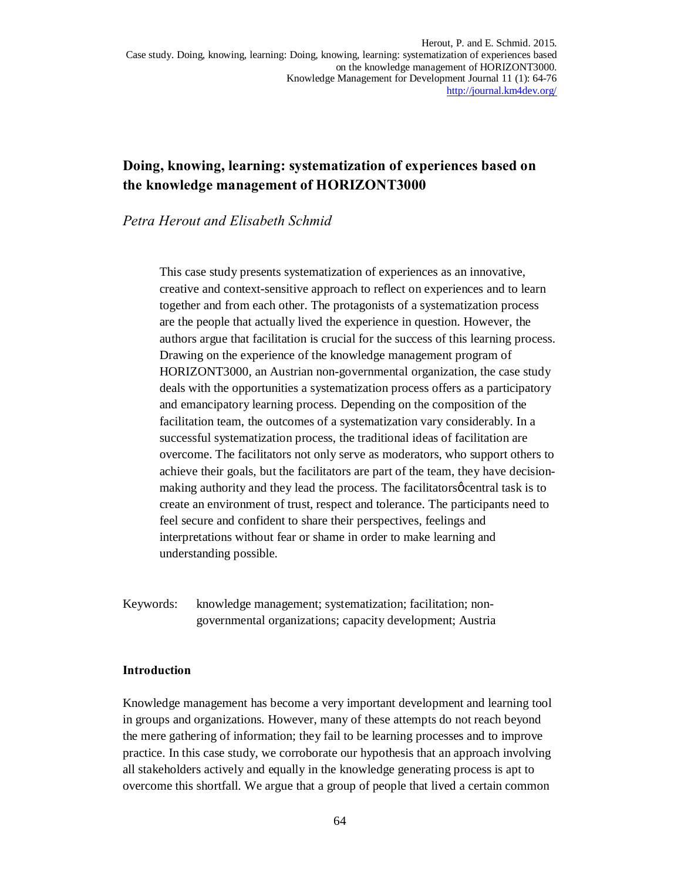# **Doing, knowing, learning: systematization of experiences based on the knowledge management of HORIZONT3000**

### *Petra Herout and Elisabeth Schmid*

This case study presents systematization of experiences as an innovative, creative and context-sensitive approach to reflect on experiences and to learn together and from each other. The protagonists of a systematization process are the people that actually lived the experience in question. However, the authors argue that facilitation is crucial for the success of this learning process. Drawing on the experience of the knowledge management program of HORIZONT3000, an Austrian non-governmental organization, the case study deals with the opportunities a systematization process offers as a participatory and emancipatory learning process. Depending on the composition of the facilitation team, the outcomes of a systematization vary considerably. In a successful systematization process, the traditional ideas of facilitation are overcome. The facilitators not only serve as moderators, who support others to achieve their goals, but the facilitators are part of the team, they have decisionmaking authority and they lead the process. The facilitators  $\phi$  central task is to create an environment of trust, respect and tolerance. The participants need to feel secure and confident to share their perspectives, feelings and interpretations without fear or shame in order to make learning and understanding possible.

Keywords: knowledge management; systematization; facilitation; nongovernmental organizations; capacity development; Austria

#### **Introduction**

Knowledge management has become a very important development and learning tool in groups and organizations. However, many of these attempts do not reach beyond the mere gathering of information; they fail to be learning processes and to improve practice. In this case study, we corroborate our hypothesis that an approach involving all stakeholders actively and equally in the knowledge generating process is apt to overcome this shortfall. We argue that a group of people that lived a certain common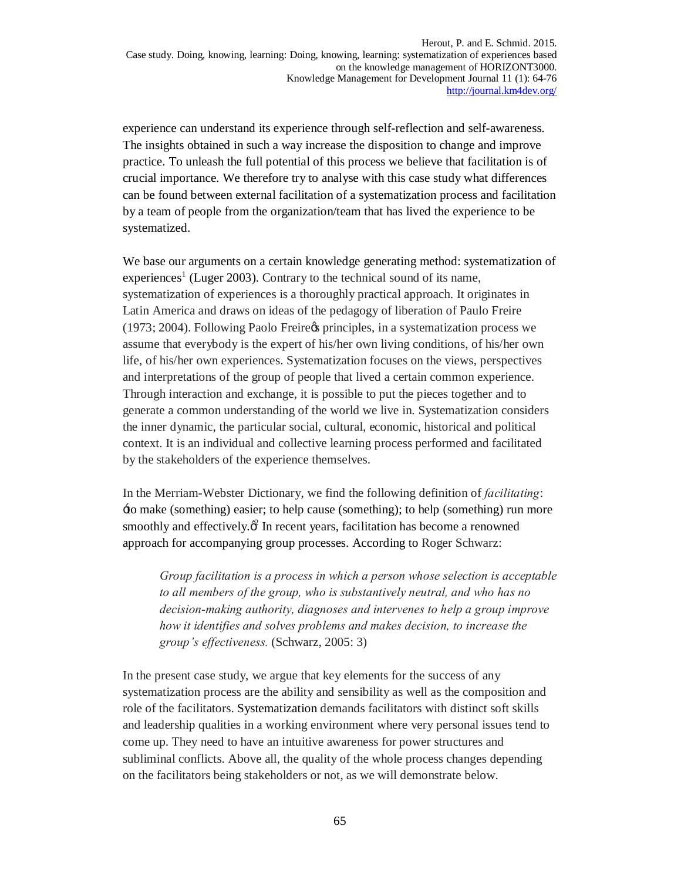experience can understand its experience through self-reflection and self-awareness. The insights obtained in such a way increase the disposition to change and improve practice. To unleash the full potential of this process we believe that facilitation is of crucial importance. We therefore try to analyse with this case study what differences can be found between external facilitation of a systematization process and facilitation by a team of people from the organization/team that has lived the experience to be systematized.

We base our arguments on a certain knowledge generating method: systematization of experiences<sup>1</sup> (Luger 2003). Contrary to the technical sound of its name, systematization of experiences is a thoroughly practical approach. It originates in Latin America and draws on ideas of the pedagogy of liberation of Paulo Freire (1973; 2004). Following Paolo Freire's principles, in a systematization process we assume that everybody is the expert of his/her own living conditions, of his/her own life, of his/her own experiences. Systematization focuses on the views, perspectives and interpretations of the group of people that lived a certain common experience. Through interaction and exchange, it is possible to put the pieces together and to generate a common understanding of the world we live in. Systematization considers the inner dynamic, the particular social, cultural, economic, historical and political context. It is an individual and collective learning process performed and facilitated by the stakeholders of the experience themselves.

In the Merriam-Webster Dictionary, we find the following definition of *facilitating*: 'to make (something) easier; to help cause (something); to help (something) run more smoothly and effectively. $\mathcal{C}$  In recent years, facilitation has become a renowned approach for accompanying group processes. According to Roger Schwarz:

*Group facilitation is a process in which a person whose selection is acceptable to all members of the group, who is substantively neutral, and who has no decision-making authority, diagnoses and intervenes to help a group improve how it identifies and solves problems and makes decision, to increase the group's effectiveness.* (Schwarz, 2005: 3)

In the present case study, we argue that key elements for the success of any systematization process are the ability and sensibility as well as the composition and role of the facilitators. Systematization demands facilitators with distinct soft skills and leadership qualities in a working environment where very personal issues tend to come up. They need to have an intuitive awareness for power structures and subliminal conflicts. Above all, the quality of the whole process changes depending on the facilitators being stakeholders or not, as we will demonstrate below.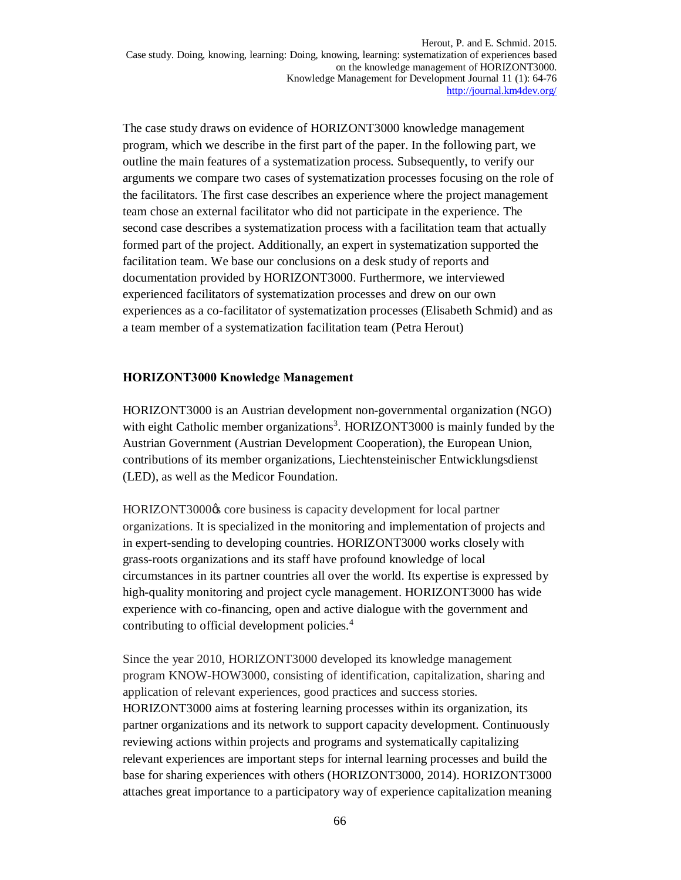The case study draws on evidence of HORIZONT3000 knowledge management program, which we describe in the first part of the paper. In the following part, we outline the main features of a systematization process. Subsequently, to verify our arguments we compare two cases of systematization processes focusing on the role of the facilitators. The first case describes an experience where the project management team chose an external facilitator who did not participate in the experience. The second case describes a systematization process with a facilitation team that actually formed part of the project. Additionally, an expert in systematization supported the facilitation team. We base our conclusions on a desk study of reports and documentation provided by HORIZONT3000. Furthermore, we interviewed experienced facilitators of systematization processes and drew on our own experiences as a co-facilitator of systematization processes (Elisabeth Schmid) and as a team member of a systematization facilitation team (Petra Herout)

#### **HORIZONT3000 Knowledge Management**

HORIZONT3000 is an Austrian development non-governmental organization (NGO) with eight Catholic member organizations<sup>3</sup>. HORIZONT3000 is mainly funded by the Austrian Government (Austrian Development Cooperation), the European Union, contributions of its member organizations, Liechtensteinischer Entwicklungsdienst (LED), as well as the Medicor Foundation.

HORIZONT3000 $\alpha$  core business is capacity development for local partner organizations. It is specialized in the monitoring and implementation of projects and in expert-sending to developing countries. HORIZONT3000 works closely with grass-roots organizations and its staff have profound knowledge of local circumstances in its partner countries all over the world. Its expertise is expressed by high-quality monitoring and project cycle management. HORIZONT3000 has wide experience with co-financing, open and active dialogue with the government and contributing to official development policies.<sup>4</sup>

Since the year 2010, HORIZONT3000 developed its knowledge management program KNOW-HOW3000, consisting of identification, capitalization, sharing and application of relevant experiences, good practices and success stories. HORIZONT3000 aims at fostering learning processes within its organization, its partner organizations and its network to support capacity development. Continuously reviewing actions within projects and programs and systematically capitalizing relevant experiences are important steps for internal learning processes and build the base for sharing experiences with others (HORIZONT3000, 2014). HORIZONT3000 attaches great importance to a participatory way of experience capitalization meaning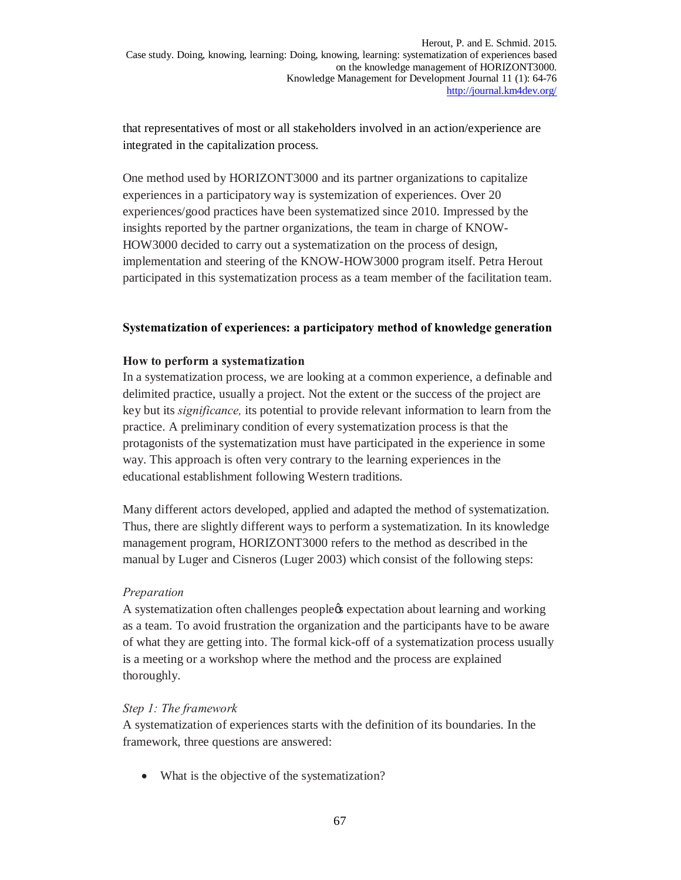that representatives of most or all stakeholders involved in an action/experience are integrated in the capitalization process.

One method used by HORIZONT3000 and its partner organizations to capitalize experiences in a participatory way is systemization of experiences. Over 20 experiences/good practices have been systematized since 2010. Impressed by the insights reported by the partner organizations, the team in charge of KNOW-HOW3000 decided to carry out a systematization on the process of design, implementation and steering of the KNOW-HOW3000 program itself. Petra Herout participated in this systematization process as a team member of the facilitation team.

### **Systematization of experiences: a participatory method of knowledge generation**

### **How to perform a systematization**

In a systematization process, we are looking at a common experience, a definable and delimited practice, usually a project. Not the extent or the success of the project are key but its *significance,* its potential to provide relevant information to learn from the practice. A preliminary condition of every systematization process is that the protagonists of the systematization must have participated in the experience in some way. This approach is often very contrary to the learning experiences in the educational establishment following Western traditions.

Many different actors developed, applied and adapted the method of systematization. Thus, there are slightly different ways to perform a systematization. In its knowledge management program, HORIZONT3000 refers to the method as described in the manual by Luger and Cisneros (Luger 2003) which consist of the following steps:

### *Preparation*

A systematization often challenges people<sub> $\&$ </sub> expectation about learning and working as a team. To avoid frustration the organization and the participants have to be aware of what they are getting into. The formal kick-off of a systematization process usually is a meeting or a workshop where the method and the process are explained thoroughly.

### *Step 1: The framework*

A systematization of experiences starts with the definition of its boundaries. In the framework, three questions are answered:

• What is the objective of the systematization?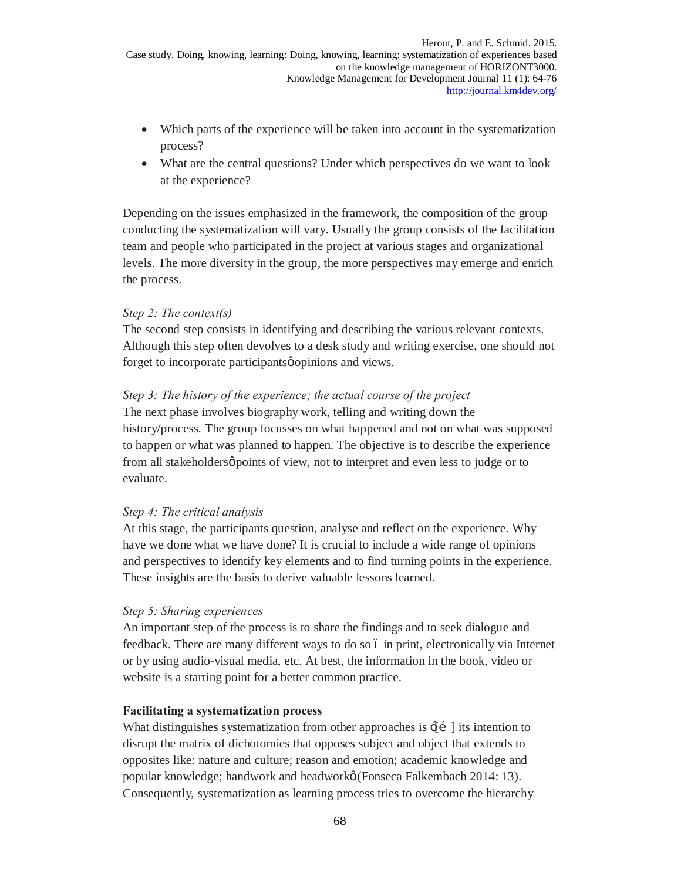- Which parts of the experience will be taken into account in the systematization process?
- What are the central questions? Under which perspectives do we want to look at the experience?

Depending on the issues emphasized in the framework, the composition of the group conducting the systematization will vary. Usually the group consists of the facilitation team and people who participated in the project at various stages and organizational levels. The more diversity in the group, the more perspectives may emerge and enrich the process.

### *Step 2: The context(s)*

The second step consists in identifying and describing the various relevant contexts. Although this step often devolves to a desk study and writing exercise, one should not forget to incorporate participants  $\phi$  opinions and views.

### *Step 3: The history of the experience; the actual course of the project*

The next phase involves biography work, telling and writing down the history/process. The group focusses on what happened and not on what was supposed to happen or what was planned to happen. The objective is to describe the experience from all stakeholders  $\varphi$  points of view, not to interpret and even less to judge or to evaluate.

# *Step 4: The critical analysis*

At this stage, the participants question, analyse and reflect on the experience. Why have we done what we have done? It is crucial to include a wide range of opinions and perspectives to identify key elements and to find turning points in the experience. These insights are the basis to derive valuable lessons learned.

### *Step 5: Sharing experiences*

An important step of the process is to share the findings and to seek dialogue and feedback. There are many different ways to do so  $\acute{o}$  in print, electronically via Internet or by using audio-visual media, etc. At best, the information in the book, video or website is a starting point for a better common practice.

### **Facilitating a systematization process**

What distinguishes systematization from other approaches is  $\pm i$  lis intention to disrupt the matrix of dichotomies that opposes subject and object that extends to opposites like: nature and culture; reason and emotion; academic knowledge and popular knowledge; handwork and headwork' (Fonseca Falkembach 2014: 13). Consequently, systematization as learning process tries to overcome the hierarchy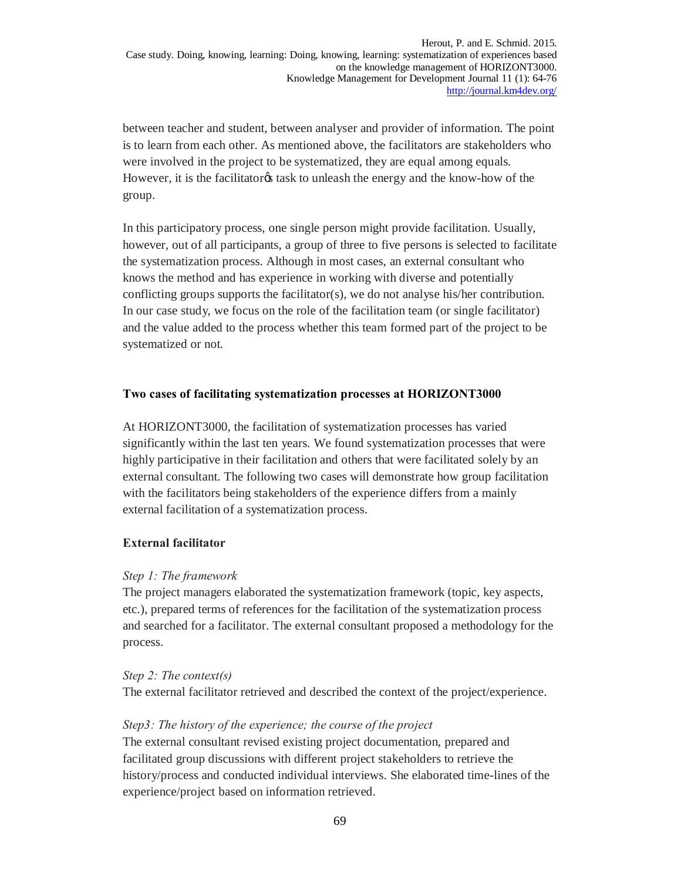between teacher and student, between analyser and provider of information. The point is to learn from each other. As mentioned above, the facilitators are stakeholders who were involved in the project to be systematized, they are equal among equals. However, it is the facilitator task to unleash the energy and the know-how of the group.

In this participatory process, one single person might provide facilitation. Usually, however, out of all participants, a group of three to five persons is selected to facilitate the systematization process. Although in most cases, an external consultant who knows the method and has experience in working with diverse and potentially conflicting groups supports the facilitator(s), we do not analyse his/her contribution. In our case study, we focus on the role of the facilitation team (or single facilitator) and the value added to the process whether this team formed part of the project to be systematized or not.

### **Two cases of facilitating systematization processes at HORIZONT3000**

At HORIZONT3000, the facilitation of systematization processes has varied significantly within the last ten years. We found systematization processes that were highly participative in their facilitation and others that were facilitated solely by an external consultant. The following two cases will demonstrate how group facilitation with the facilitators being stakeholders of the experience differs from a mainly external facilitation of a systematization process.

### **External facilitator**

#### *Step 1: The framework*

The project managers elaborated the systematization framework (topic, key aspects, etc.), prepared terms of references for the facilitation of the systematization process and searched for a facilitator. The external consultant proposed a methodology for the process.

#### *Step 2: The context(s)*

The external facilitator retrieved and described the context of the project/experience.

#### *Step3: The history of the experience; the course of the project*

The external consultant revised existing project documentation, prepared and facilitated group discussions with different project stakeholders to retrieve the history/process and conducted individual interviews. She elaborated time-lines of the experience/project based on information retrieved.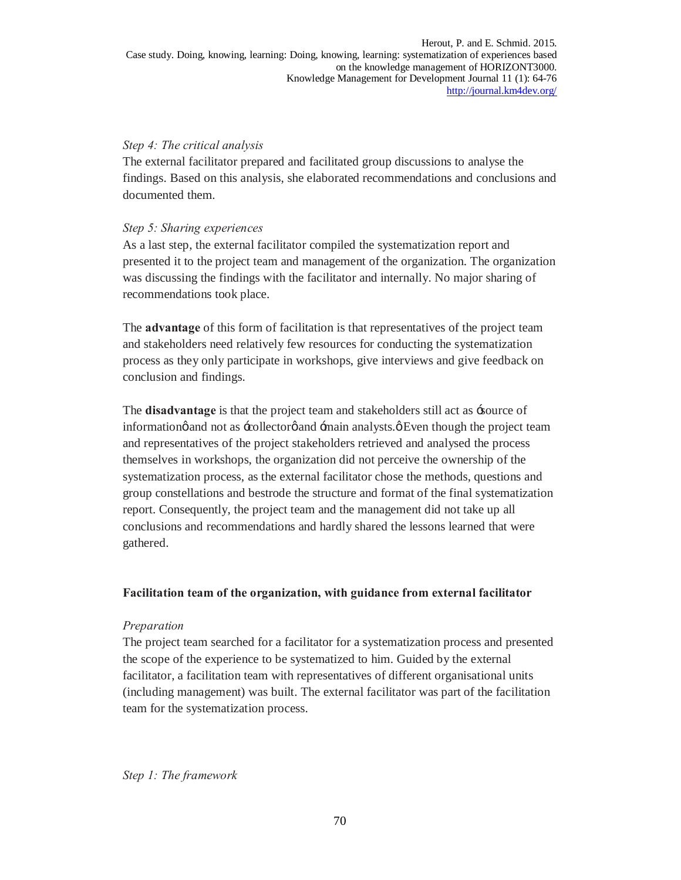### *Step 4: The critical analysis*

The external facilitator prepared and facilitated group discussions to analyse the findings. Based on this analysis, she elaborated recommendations and conclusions and documented them.

### *Step 5: Sharing experiences*

As a last step, the external facilitator compiled the systematization report and presented it to the project team and management of the organization. The organization was discussing the findings with the facilitator and internally. No major sharing of recommendations took place.

The **advantage** of this form of facilitation is that representatives of the project team and stakeholders need relatively few resources for conducting the systematization process as they only participate in workshops, give interviews and give feedback on conclusion and findings.

The **disadvantage** is that the project team and stakeholders still act as 'source of informationg and not as  $\div$ collectorg and  $\div$ main analysts. $\varphi$  Even though the project team and representatives of the project stakeholders retrieved and analysed the process themselves in workshops, the organization did not perceive the ownership of the systematization process, as the external facilitator chose the methods, questions and group constellations and bestrode the structure and format of the final systematization report. Consequently, the project team and the management did not take up all conclusions and recommendations and hardly shared the lessons learned that were gathered.

# **Facilitation team of the organization, with guidance from external facilitator**

### *Preparation*

The project team searched for a facilitator for a systematization process and presented the scope of the experience to be systematized to him. Guided by the external facilitator, a facilitation team with representatives of different organisational units (including management) was built. The external facilitator was part of the facilitation team for the systematization process.

*Step 1: The framework*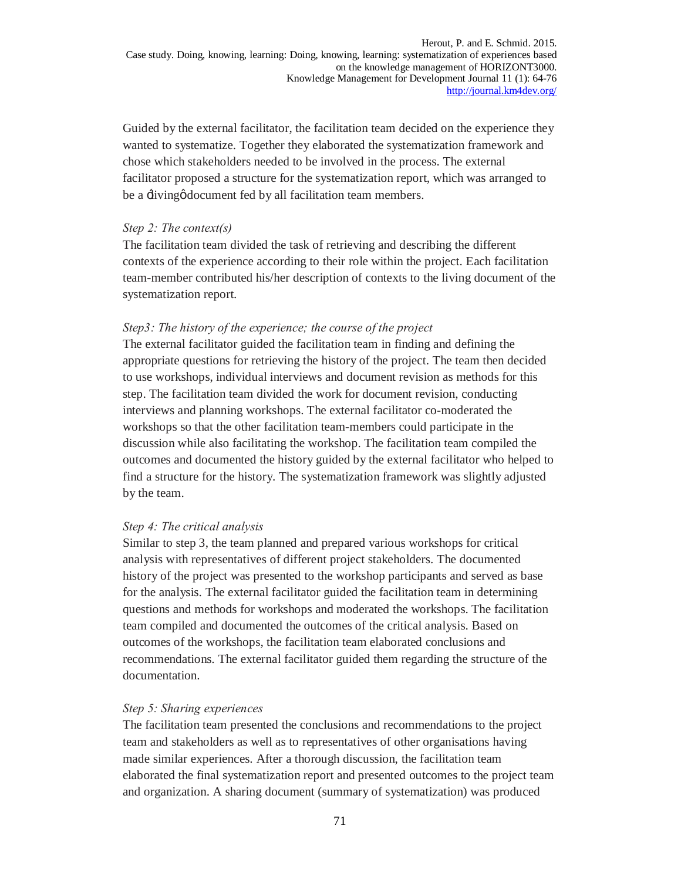Guided by the external facilitator, the facilitation team decided on the experience they wanted to systematize. Together they elaborated the systematization framework and chose which stakeholders needed to be involved in the process. The external facilitator proposed a structure for the systematization report, which was arranged to be a  $\exists$ ivingø document fed by all facilitation team members.

#### *Step 2: The context(s)*

The facilitation team divided the task of retrieving and describing the different contexts of the experience according to their role within the project. Each facilitation team-member contributed his/her description of contexts to the living document of the systematization report.

#### *Step3: The history of the experience; the course of the project*

The external facilitator guided the facilitation team in finding and defining the appropriate questions for retrieving the history of the project. The team then decided to use workshops, individual interviews and document revision as methods for this step. The facilitation team divided the work for document revision, conducting interviews and planning workshops. The external facilitator co-moderated the workshops so that the other facilitation team-members could participate in the discussion while also facilitating the workshop. The facilitation team compiled the outcomes and documented the history guided by the external facilitator who helped to find a structure for the history. The systematization framework was slightly adjusted by the team.

#### *Step 4: The critical analysis*

Similar to step 3, the team planned and prepared various workshops for critical analysis with representatives of different project stakeholders. The documented history of the project was presented to the workshop participants and served as base for the analysis. The external facilitator guided the facilitation team in determining questions and methods for workshops and moderated the workshops. The facilitation team compiled and documented the outcomes of the critical analysis. Based on outcomes of the workshops, the facilitation team elaborated conclusions and recommendations. The external facilitator guided them regarding the structure of the documentation.

#### *Step 5: Sharing experiences*

The facilitation team presented the conclusions and recommendations to the project team and stakeholders as well as to representatives of other organisations having made similar experiences. After a thorough discussion, the facilitation team elaborated the final systematization report and presented outcomes to the project team and organization. A sharing document (summary of systematization) was produced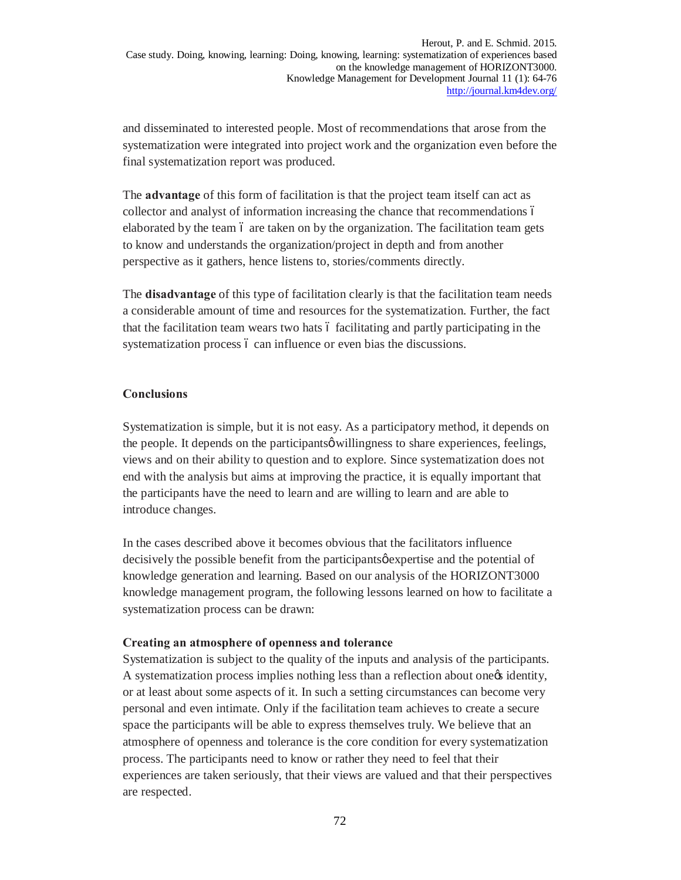and disseminated to interested people. Most of recommendations that arose from the systematization were integrated into project work and the organization even before the final systematization report was produced.

The **advantage** of this form of facilitation is that the project team itself can act as collector and analyst of information increasing the chance that recommendations – elaborated by the team 6 are taken on by the organization. The facilitation team gets to know and understands the organization/project in depth and from another perspective as it gathers, hence listens to, stories/comments directly.

The **disadvantage** of this type of facilitation clearly is that the facilitation team needs a considerable amount of time and resources for the systematization. Further, the fact that the facilitation team wears two hats 6 facilitating and partly participating in the systematization process  $\acute{o}$  can influence or even bias the discussions.

### **Conclusions**

Systematization is simple, but it is not easy. As a participatory method, it depends on the people. It depends on the participants o willingness to share experiences, feelings, views and on their ability to question and to explore. Since systematization does not end with the analysis but aims at improving the practice, it is equally important that the participants have the need to learn and are willing to learn and are able to introduce changes.

In the cases described above it becomes obvious that the facilitators influence decisively the possible benefit from the participants  $\phi$  expertise and the potential of knowledge generation and learning. Based on our analysis of the HORIZONT3000 knowledge management program, the following lessons learned on how to facilitate a systematization process can be drawn:

#### **Creating an atmosphere of openness and tolerance**

Systematization is subject to the quality of the inputs and analysis of the participants. A systematization process implies nothing less than a reflection about onegs identity, or at least about some aspects of it. In such a setting circumstances can become very personal and even intimate. Only if the facilitation team achieves to create a secure space the participants will be able to express themselves truly. We believe that an atmosphere of openness and tolerance is the core condition for every systematization process. The participants need to know or rather they need to feel that their experiences are taken seriously, that their views are valued and that their perspectives are respected.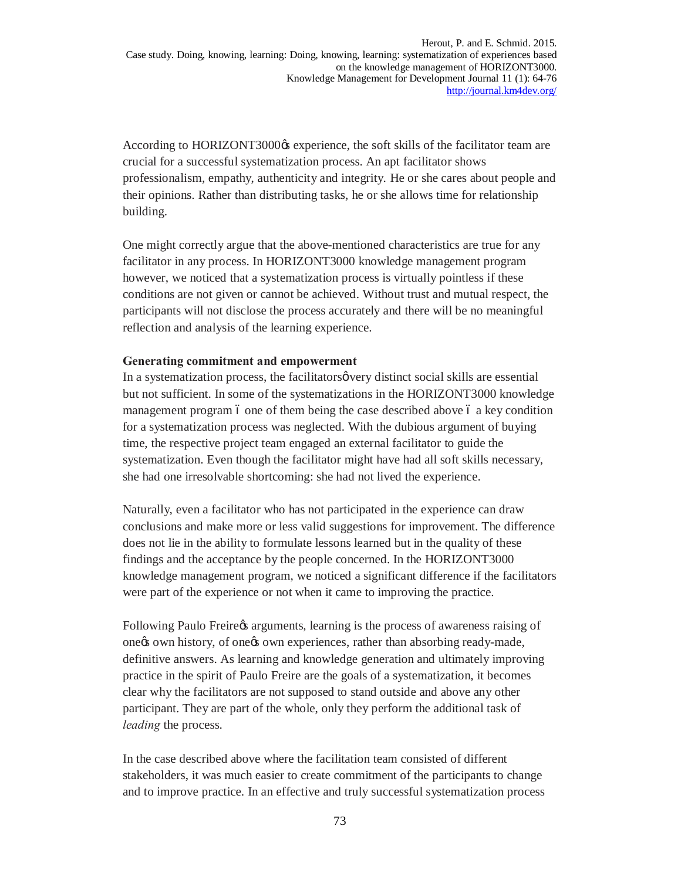According to HORIZONT3000 $\alpha$  experience, the soft skills of the facilitator team are crucial for a successful systematization process. An apt facilitator shows professionalism, empathy, authenticity and integrity. He or she cares about people and their opinions. Rather than distributing tasks, he or she allows time for relationship building.

One might correctly argue that the above-mentioned characteristics are true for any facilitator in any process. In HORIZONT3000 knowledge management program however, we noticed that a systematization process is virtually pointless if these conditions are not given or cannot be achieved. Without trust and mutual respect, the participants will not disclose the process accurately and there will be no meaningful reflection and analysis of the learning experience.

#### **Generating commitment and empowerment**

In a systematization process, the facilitators overy distinct social skills are essential but not sufficient. In some of the systematizations in the HORIZONT3000 knowledge management program 6 one of them being the case described above 6 a key condition for a systematization process was neglected. With the dubious argument of buying time, the respective project team engaged an external facilitator to guide the systematization. Even though the facilitator might have had all soft skills necessary, she had one irresolvable shortcoming: she had not lived the experience.

Naturally, even a facilitator who has not participated in the experience can draw conclusions and make more or less valid suggestions for improvement. The difference does not lie in the ability to formulate lessons learned but in the quality of these findings and the acceptance by the people concerned. In the HORIZONT3000 knowledge management program, we noticed a significant difference if the facilitators were part of the experience or not when it came to improving the practice.

Following Paulo Freire $\alpha$  arguments, learning is the process of awareness raising of onegs own history, of onegs own experiences, rather than absorbing ready-made, definitive answers. As learning and knowledge generation and ultimately improving practice in the spirit of Paulo Freire are the goals of a systematization, it becomes clear why the facilitators are not supposed to stand outside and above any other participant. They are part of the whole, only they perform the additional task of *leading* the process.

In the case described above where the facilitation team consisted of different stakeholders, it was much easier to create commitment of the participants to change and to improve practice. In an effective and truly successful systematization process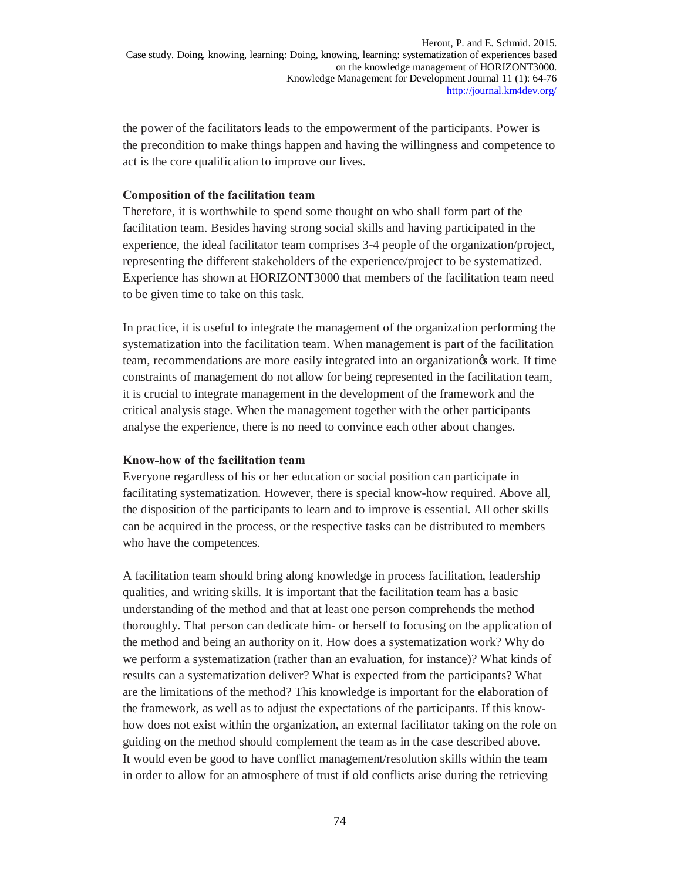the power of the facilitators leads to the empowerment of the participants. Power is the precondition to make things happen and having the willingness and competence to act is the core qualification to improve our lives.

### **Composition of the facilitation team**

Therefore, it is worthwhile to spend some thought on who shall form part of the facilitation team. Besides having strong social skills and having participated in the experience, the ideal facilitator team comprises 3-4 people of the organization/project, representing the different stakeholders of the experience/project to be systematized. Experience has shown at HORIZONT3000 that members of the facilitation team need to be given time to take on this task.

In practice, it is useful to integrate the management of the organization performing the systematization into the facilitation team. When management is part of the facilitation team, recommendations are more easily integrated into an organization's work. If time constraints of management do not allow for being represented in the facilitation team, it is crucial to integrate management in the development of the framework and the critical analysis stage. When the management together with the other participants analyse the experience, there is no need to convince each other about changes.

#### **Know-how of the facilitation team**

Everyone regardless of his or her education or social position can participate in facilitating systematization. However, there is special know-how required. Above all, the disposition of the participants to learn and to improve is essential. All other skills can be acquired in the process, or the respective tasks can be distributed to members who have the competences.

A facilitation team should bring along knowledge in process facilitation, leadership qualities, and writing skills. It is important that the facilitation team has a basic understanding of the method and that at least one person comprehends the method thoroughly. That person can dedicate him- or herself to focusing on the application of the method and being an authority on it. How does a systematization work? Why do we perform a systematization (rather than an evaluation, for instance)? What kinds of results can a systematization deliver? What is expected from the participants? What are the limitations of the method? This knowledge is important for the elaboration of the framework, as well as to adjust the expectations of the participants. If this knowhow does not exist within the organization, an external facilitator taking on the role on guiding on the method should complement the team as in the case described above. It would even be good to have conflict management/resolution skills within the team in order to allow for an atmosphere of trust if old conflicts arise during the retrieving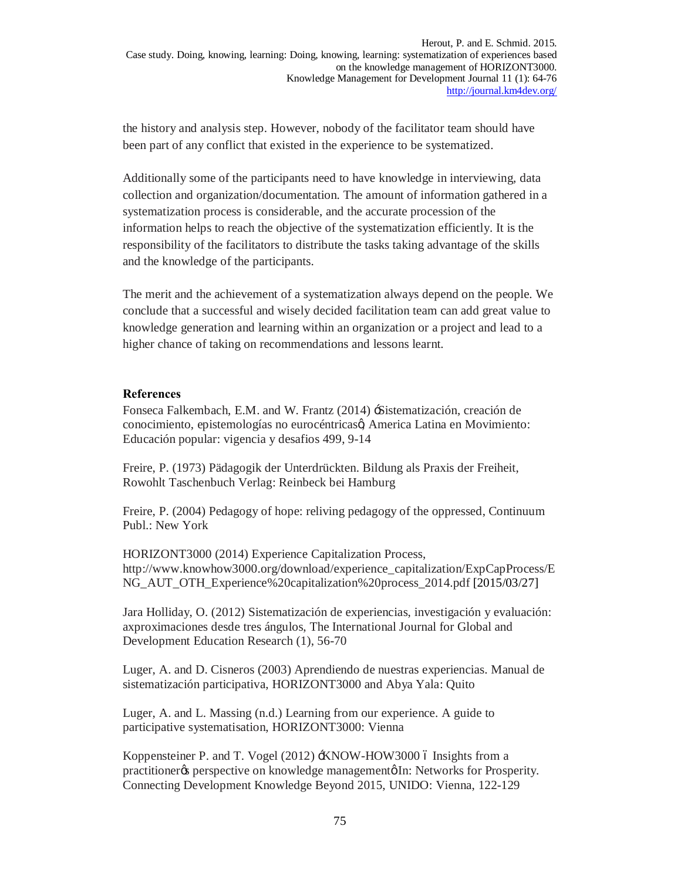the history and analysis step. However, nobody of the facilitator team should have been part of any conflict that existed in the experience to be systematized.

Additionally some of the participants need to have knowledge in interviewing, data collection and organization/documentation. The amount of information gathered in a systematization process is considerable, and the accurate procession of the information helps to reach the objective of the systematization efficiently. It is the responsibility of the facilitators to distribute the tasks taking advantage of the skills and the knowledge of the participants.

The merit and the achievement of a systematization always depend on the people. We conclude that a successful and wisely decided facilitation team can add great value to knowledge generation and learning within an organization or a project and lead to a higher chance of taking on recommendations and lessons learnt.

### **References**

Fonseca Falkembach, E.M. and W. Frantz (2014) 'Sistematización, creación de conocimiento, epistemologías no eurocéntricas $\alpha$ , America Latina en Movimiento: Educación popular: vigencia y desafios 499, 9-14

Freire, P. (1973) Pädagogik der Unterdrückten. Bildung als Praxis der Freiheit, Rowohlt Taschenbuch Verlag: Reinbeck bei Hamburg

Freire, P. (2004) Pedagogy of hope: reliving pedagogy of the oppressed, Continuum Publ.: New York

HORIZONT3000 (2014) Experience Capitalization Process, http://www.knowhow3000.org/download/experience\_capitalization/ExpCapProcess/E NG\_AUT\_OTH\_Experience%20capitalization%20process\_2014.pdf [2015/03/27]

Jara Holliday, O. (2012) Sistematización de experiencias, investigación y evaluación: axproximaciones desde tres ángulos, The International Journal for Global and Development Education Research (1), 56-70

Luger, A. and D. Cisneros (2003) Aprendiendo de nuestras experiencias. Manual de sistematización participativa, HORIZONT3000 and Abya Yala: Quito

Luger, A. and L. Massing (n.d.) Learning from our experience. A guide to participative systematisation, HORIZONT3000: Vienna

Koppensteiner P. and T. Vogel (2012)  $\pm$ KNOW-HOW3000 ó Insights from a practitioner<sub>%</sub> perspective on knowledge management<sub>®</sub> In: Networks for Prosperity. Connecting Development Knowledge Beyond 2015, UNIDO: Vienna, 122-129